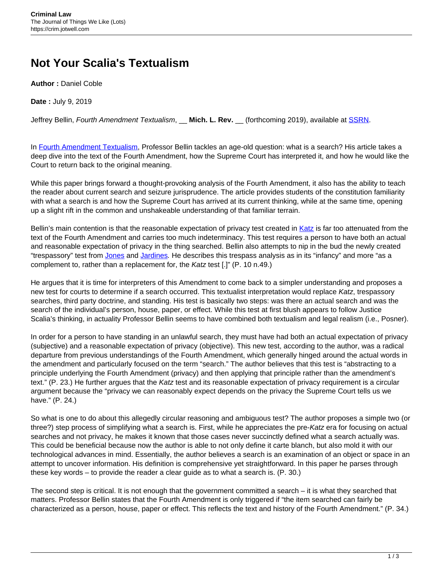## **Not Your Scalia's Textualism**

**Author :** Daniel Coble

**Date :** July 9, 2019

Jeffrey Bellin, Fourth Amendment Textualism, \_\_ **Mich. L. Rev.** \_\_ (forthcoming 2019), available at [SSRN.](https://ssrn.com/abstract=3309688)

In [Fourth Amendment Textualism](https://ssrn.com/abstract=3309688), Professor Bellin tackles an age-old question: what is a search? His article takes a deep dive into the text of the Fourth Amendment, how the Supreme Court has interpreted it, and how he would like the Court to return back to the original meaning.

While this paper brings forward a thought-provoking analysis of the Fourth Amendment, it also has the ability to teach the reader about current search and seizure jurisprudence. The article provides students of the constitution familiarity with what a search is and how the Supreme Court has arrived at its current thinking, while at the same time, opening up a slight rift in the common and unshakeable understanding of that familiar terrain.

Bellin's main contention is that the reasonable expectation of privacy test created in [Katz](https://www.law.cornell.edu/supremecourt/text/389/347) is far too attenuated from the text of the Fourth Amendment and carries too much indeterminacy. This test requires a person to have both an actual and reasonable expectation of privacy in the thing searched. Bellin also attempts to nip in the bud the newly created "trespassory" test from [Jones](https://www.law.cornell.edu/supremecourt/text/10-1259) and [Jardines](https://www.law.cornell.edu/supremecourt/text/11-564). He describes this trespass analysis as in its "infancy" and more "as a complement to, rather than a replacement for, the Katz test [.]" (P. 10 n.49.)

He argues that it is time for interpreters of this Amendment to come back to a simpler understanding and proposes a new test for courts to determine if a search occurred. This textualist interpretation would replace Katz, trespassory searches, third party doctrine, and standing. His test is basically two steps: was there an actual search and was the search of the individual's person, house, paper, or effect. While this test at first blush appears to follow Justice Scalia's thinking, in actuality Professor Bellin seems to have combined both textualism and legal realism (i.e., Posner).

In order for a person to have standing in an unlawful search, they must have had both an actual expectation of privacy (subjective) and a reasonable expectation of privacy (objective). This new test, according to the author, was a radical departure from previous understandings of the Fourth Amendment, which generally hinged around the actual words in the amendment and particularly focused on the term "search." The author believes that this test is "abstracting to a principle underlying the Fourth Amendment (privacy) and then applying that principle rather than the amendment's text." (P. 23.) He further argues that the Katz test and its reasonable expectation of privacy requirement is a circular argument because the "privacy we can reasonably expect depends on the privacy the Supreme Court tells us we have." (P. 24.)

So what is one to do about this allegedly circular reasoning and ambiguous test? The author proposes a simple two (or three?) step process of simplifying what a search is. First, while he appreciates the pre-Katz era for focusing on actual searches and not privacy, he makes it known that those cases never succinctly defined what a search actually was. This could be beneficial because now the author is able to not only define it carte blanch, but also mold it with our technological advances in mind. Essentially, the author believes a search is an examination of an object or space in an attempt to uncover information. His definition is comprehensive yet straightforward. In this paper he parses through these key words – to provide the reader a clear guide as to what a search is. (P. 30.)

The second step is critical. It is not enough that the government committed a search – it is what they searched that matters. Professor Bellin states that the Fourth Amendment is only triggered if "the item searched can fairly be characterized as a person, house, paper or effect. This reflects the text and history of the Fourth Amendment." (P. 34.)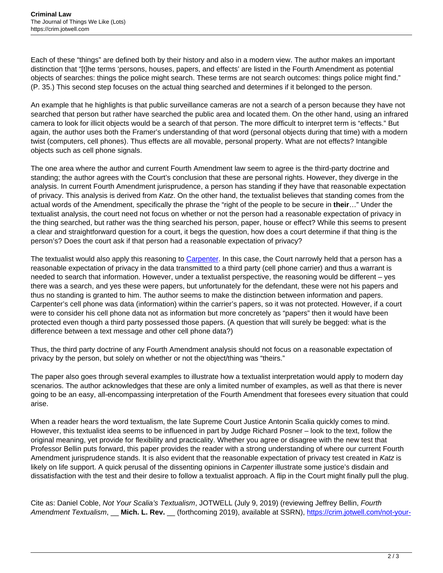Each of these "things" are defined both by their history and also in a modern view. The author makes an important distinction that "[t]he terms 'persons, houses, papers, and effects' are listed in the Fourth Amendment as potential objects of searches: things the police might search. These terms are not search outcomes: things police might find." (P. 35.) This second step focuses on the actual thing searched and determines if it belonged to the person.

An example that he highlights is that public surveillance cameras are not a search of a person because they have not searched that person but rather have searched the public area and located them. On the other hand, using an infrared camera to look for illicit objects would be a search of that person. The more difficult to interpret term is "effects." But again, the author uses both the Framer's understanding of that word (personal objects during that time) with a modern twist (computers, cell phones). Thus effects are all movable, personal property. What are not effects? Intangible objects such as cell phone signals.

The one area where the author and current Fourth Amendment law seem to agree is the third-party doctrine and standing; the author agrees with the Court's conclusion that these are personal rights. However, they diverge in the analysis. In current Fourth Amendment jurisprudence, a person has standing if they have that reasonable expectation of privacy. This analysis is derived from Katz. On the other hand, the textualist believes that standing comes from the actual words of the Amendment, specifically the phrase the "right of the people to be secure in **their**…" Under the textualist analysis, the court need not focus on whether or not the person had a reasonable expectation of privacy in the thing searched, but rather was the thing searched his person, paper, house or effect? While this seems to present a clear and straightforward question for a court, it begs the question, how does a court determine if that thing is the person's? Does the court ask if that person had a reasonable expectation of privacy?

The textualist would also apply this reasoning to [Carpenter](https://www.law.cornell.edu/supremecourt/text/16-402). In this case, the Court narrowly held that a person has a reasonable expectation of privacy in the data transmitted to a third party (cell phone carrier) and thus a warrant is needed to search that information. However, under a textualist perspective, the reasoning would be different – yes there was a search, and yes these were papers, but unfortunately for the defendant, these were not his papers and thus no standing is granted to him. The author seems to make the distinction between information and papers. Carpenter's cell phone was data (information) within the carrier's papers, so it was not protected. However, if a court were to consider his cell phone data not as information but more concretely as "papers" then it would have been protected even though a third party possessed those papers. (A question that will surely be begged: what is the difference between a text message and other cell phone data?)

Thus, the third party doctrine of any Fourth Amendment analysis should not focus on a reasonable expectation of privacy by the person, but solely on whether or not the object/thing was "theirs."

The paper also goes through several examples to illustrate how a textualist interpretation would apply to modern day scenarios. The author acknowledges that these are only a limited number of examples, as well as that there is never going to be an easy, all-encompassing interpretation of the Fourth Amendment that foresees every situation that could arise.

When a reader hears the word textualism, the late Supreme Court Justice Antonin Scalia quickly comes to mind. However, this textualist idea seems to be influenced in part by Judge Richard Posner – look to the text, follow the original meaning, yet provide for flexibility and practicality. Whether you agree or disagree with the new test that Professor Bellin puts forward, this paper provides the reader with a strong understanding of where our current Fourth Amendment jurisprudence stands. It is also evident that the reasonable expectation of privacy test created in Katz is likely on life support. A quick perusal of the dissenting opinions in Carpenter illustrate some justice's disdain and dissatisfaction with the test and their desire to follow a textualist approach. A flip in the Court might finally pull the plug.

Cite as: Daniel Coble, Not Your Scalia's Textualism, JOTWELL (July 9, 2019) (reviewing Jeffrey Bellin, Fourth Amendment Textualism, \_\_ Mich. L. Rev. \_\_ (forthcoming 2019), available at SSRN), [https://crim.jotwell.com/not-your-](https://crim.jotwell.com/not-your-scalias-textualism/)